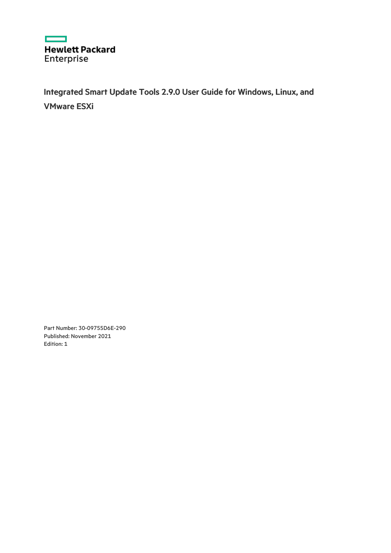

Integrated Smart Update Tools 2.9.0 User Guide for Windows, Linux, and VMware ESXi

Part Number: 30-09755D6E-290 Published: November 2021 Edition: 1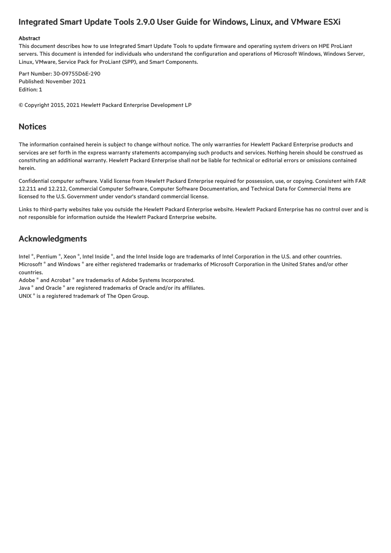## Integrated Smart Update Tools 2.9.0 User Guide for Windows, Linux, and VMware ESXi

#### Abstract

This document describes how to use Integrated Smart Update Tools to update firmware and operating system drivers on HPE ProLiant servers. This document is intended for individuals who understand the configuration and operations of Microsoft Windows, Windows Server, Linux, VMware, Service Pack for ProLiant (SPP), and Smart Components.

Part Number: 30-09755D6E-290 Published: November 2021 Edition: 1

© Copyright 2015, 2021 Hewlett Packard Enterprise Development LP

## **Notices**

The information contained herein is subject to change without notice. The only warranties for Hewlett Packard Enterprise products and services are set forth in the express warranty statements accompanying such products and services. Nothing herein should be construed as constituting an additional warranty. Hewlett Packard Enterprise shall not be liable for technical or editorial errors or omissions contained herein.

Confidential computer software. Valid license from Hewlett Packard Enterprise required for possession, use, or copying. Consistent with FAR 12.211 and 12.212, Commercial Computer Software, Computer Software Documentation, and Technical Data for Commercial Items are licensed to the U.S. Government under vendor's standard commercial license.

Links to third-party websites take you outside the Hewlett Packard Enterprise website. Hewlett Packard Enterprise has no control over and is not responsible for information outside the Hewlett Packard Enterprise website.

## Acknowledgments

Intel  $^\circ$ , Pentium  $^\circ$ , Xeon  $^\circ$ , Intel Inside  $^\circ$ , and the Intel Inside logo are trademarks of Intel Corporation in the U.S. and other countries. Microsoft ® and Windows ® are either registered trademarks or trademarks of Microsoft Corporation in the United States and/or other countries.

Adobe ® and Acrobat ® are trademarks of Adobe Systems Incorporated.

Java  $^{\circ}$  and Oracle  $^{\circ}$  are registered trademarks of Oracle and/or its affiliates.

UNIX $^*$  is a registered trademark of The Open Group.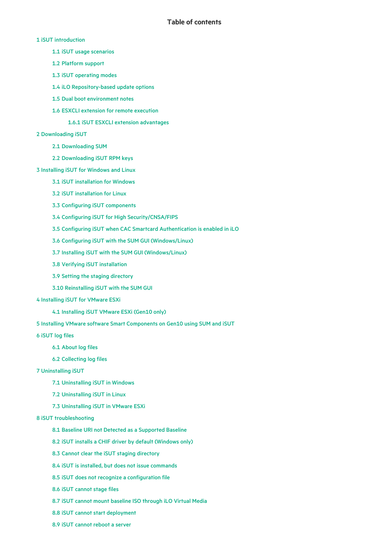- 1 iSUT [introduction](#page-4-0)
	- 1.1 iSUT usage [scenarios](#page-5-0)
	- 1.2 [Platform](#page-6-0) support
	- 1.3 iSUT [operating](#page-7-0) modes
	- 1.4 iLO [Repository-based](#page-9-0) update options
	- 1.5 Dual boot [environment](#page-10-0) notes
	- 1.6 ESXCLI extension for remote [execution](#page-11-0)
		- 1.6.1 iSUT ESXCLI extension [advantages](#page-12-0)

#### 2 [Downloading](#page-13-0) iSUT

- 2.1 [Downloading](#page-14-0) SUM
- 2.2 [Downloading](#page-15-0) iSUT RPM keys
- 3 [Installing](#page-16-0) iSUT for Windows and Linux
	- 3.1 iSUT [installation](#page-17-0) for Windows
	- 3.2 iSUT [installation](#page-18-0) for Linux
	- 3.3 Configuring iSUT [components](#page-19-0)
	- 3.4 Configuring iSUT for High [Security/CNSA/FIPS](#page-20-0)
	- 3.5 Configuring iSUT when CAC Smartcard [Authentication](#page-21-0) is enabled in iLO
	- 3.6 Configuring iSUT with the SUM GUI [\(Windows/Linux\)](#page-22-0)
	- 3.7 Installing iSUT with the SUM GUI [\(Windows/Linux\)](#page-23-0)
	- 3.8 Verifying iSUT [installation](#page-24-0)
	- 3.9 Setting the staging [directory](#page-25-0)
	- 3.10 [Reinstalling](#page-26-0) iSUT with the SUM GUI

#### 4 [Installing](#page-27-0) iSUT for VMware ESXi

- 4.1 [Installing](#page-28-0) iSUT VMware ESXi (Gen10 only)
- 5 Installing VMware software Smart [Components](#page-29-0) on Gen10 using SUM and iSUT
- 6 [iSUT](#page-30-0) log files
	- 6.1 [About](#page-31-0) log files
	- 6.2 [Collecting](#page-32-0) log files

#### 7 [Uninstalling](#page-33-0) iSUT

- 7.1 [Uninstalling](#page-34-0) iSUT in Windows
- 7.2 [Uninstalling](#page-35-0) iSUT in Linux
- 7.3 [Uninstalling](#page-36-0) iSUT in VMware ESXi

#### 8 iSUT [troubleshooting](#page-37-0)

- 8.1 Baseline URI not Detected as a [Supported](#page-38-0) Baseline
- 8.2 iSUT installs a CHIF driver by default [\(Windows](#page-39-0) only)
- 8.3 Cannot clear the iSUT staging [directory](#page-40-0)
- 8.4 iSUT is installed, but does not issue [commands](#page-41-0)
- 8.5 iSUT does not recognize a [configuration](#page-42-0) file
- 8.6 iSUT [cannot](#page-43-0) stage files
- 8.7 iSUT cannot mount [baseline](#page-44-0) ISO through iLO Virtual Media
- 8.8 iSUT cannot start [deployment](#page-45-0)
- 8.9 iSUT [cannot](#page-46-0) reboot a server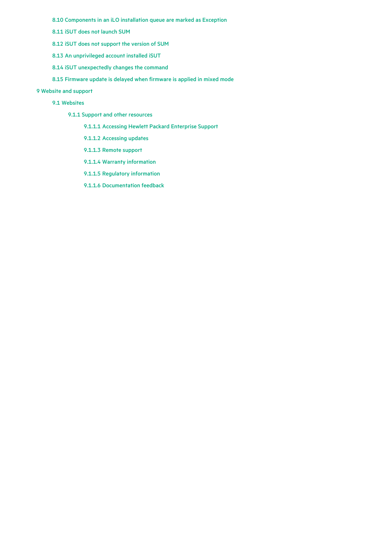8.10 [Components](#page-47-0) in an iLO installation queue are marked as Exception

8.11 iSUT does not [launch](#page-48-0) SUM

8.12 iSUT does not [support](#page-49-0) the version of SUM

8.13 An [unprivileged](#page-50-0) account installed iSUT

8.14 iSUT [unexpectedly](#page-51-0) changes the command

8.15 [Firmware](#page-52-0) update is delayed when firmware is applied in mixed mode

## 9 [Website](#page-53-0) and support

#### 9.1 [Websites](#page-54-0)

9.1.1 Support and other [resources](#page-55-0)

9.1.1.1 Accessing Hewlett Packard [Enterprise](#page-56-0) Support

9.1.1.2 [Accessing](#page-57-0) updates

9.1.1.3 [Remote](#page-58-0) support

9.1.1.4 Warranty [information](#page-59-0)

9.1.1.5 Regulatory [information](#page-60-0)

9.1.1.6 [Documentation](#page-61-0) feedback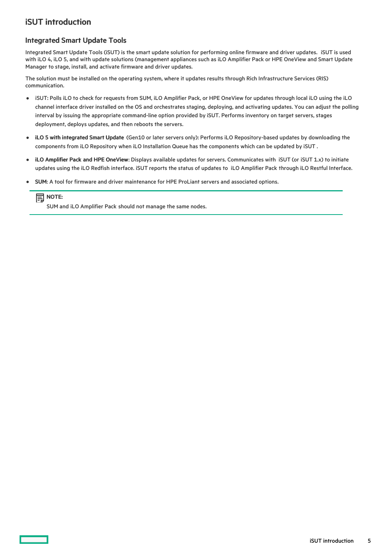## <span id="page-4-0"></span>iSUT introduction

## Integrated Smart Update Tools

Integrated Smart Update Tools (iSUT) is the smart update solution for performing online firmware and driver updates. iSUT is used with iLO 4, iLO 5, and with update solutions (management appliances such as iLO Amplifier Pack or HPE OneView and Smart Update Manager to stage, install, and activate firmware and driver updates.

The solution must be installed on the operating system, where it updates results through Rich Infrastructure Services (RIS) communication.

- iSUT: Polls iLO to check for requests from SUM, iLO Amplifier Pack, or HPE OneView for updates through local iLO using the iLO  $\bullet$ channel interface driver installed on the OS and orchestrates staging, deploying, and activating updates. You can adjust the polling interval by issuing the appropriate command-line option provided by iSUT. Performs inventory on target servers, stages deployment, deploys updates, and then reboots the servers.
- iLO 5 with integrated Smart Update (Gen10 or later servers only): Performs iLO Repository-based updates by downloading the  $\bullet$ components from iLO Repository when iLO Installation Queue has the components which can be updated by iSUT .
- iLO Amplifier Pack and HPE OneView: Displays available updates for servers. Communicates with iSUT (or iSUT 1.x) to initiate updates using the iLO Redfish interface. iSUT reports the status of updates to iLO Amplifier Pack through iLO Restful Interface.
- SUM: A tool for firmware and driver maintenance for HPE ProLiant servers and associated options.

## **同**NOTE:

SUM and iLO Amplifier Pack should not manage the same nodes.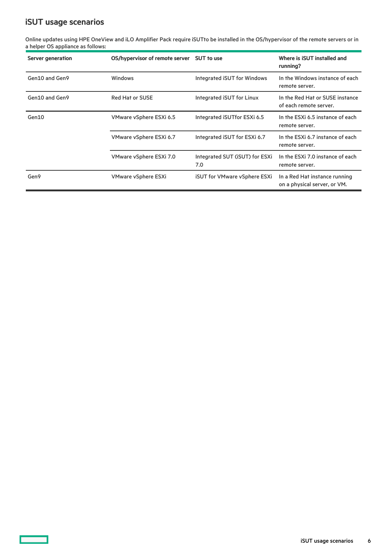# <span id="page-5-0"></span>iSUT usage scenarios

 $\overline{\phantom{a}}$ 

Online updates using HPE OneView and iLO Amplifier Pack require iSUTto be installed in the OS/hypervisor of the remote servers or in a helper OS appliance as follows:

| <b>Server generation</b> | OS/hypervisor of remote server | <b>SUT to use</b>                     | Where is iSUT installed and<br>running?                       |
|--------------------------|--------------------------------|---------------------------------------|---------------------------------------------------------------|
| Gen10 and Gen9           | <b>Windows</b>                 | <b>Integrated ISUT for Windows</b>    | In the Windows instance of each<br>remote server.             |
| Gen10 and Gen9           | <b>Red Hat or SUSE</b>         | Integrated ISUT for Linux             | In the Red Hat or SUSE instance<br>of each remote server.     |
| Gen10                    | VMware vSphere ESXi 6.5        | Integrated iSUTfor ESXi 6.5           | In the ESXI 6.5 instance of each<br>remote server.            |
|                          | VMware vSphere ESXi 6.7        | Integrated ISUT for ESXI 6.7          | In the ESXi 6.7 instance of each<br>remote server.            |
|                          | VMware vSphere ESXi 7.0        | Integrated SUT (ISUT) for ESXI<br>7.0 | In the ESXi 7.0 instance of each<br>remote server.            |
| Gen9                     | <b>VMware vSphere ESXi</b>     | <b>iSUT for VMware vSphere ESXi</b>   | In a Red Hat instance running<br>on a physical server, or VM. |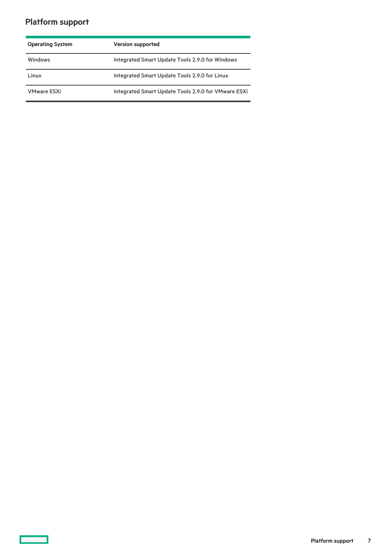# <span id="page-6-0"></span>Platform support

<u> a shekara t</u>

| <b>Operating System</b> | <b>Version supported</b>                            |  |
|-------------------------|-----------------------------------------------------|--|
| <b>Windows</b>          | Integrated Smart Update Tools 2.9.0 for Windows     |  |
| Linux                   | Integrated Smart Update Tools 2.9.0 for Linux       |  |
| <b>VMware ESXi</b>      | Integrated Smart Update Tools 2.9.0 for VMware ESXi |  |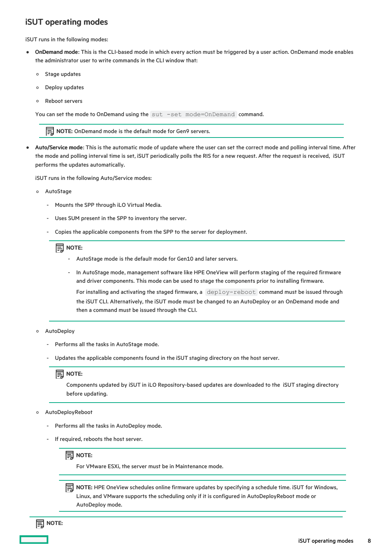## <span id="page-7-0"></span>iSUT operating modes

iSUT runs in the following modes:

- OnDemand mode: This is the CLI-based mode in which every action must be triggered by a user action. OnDemand mode enables the administrator user to write commands in the CLI window that:
	- Stage updates  $\circ$
	- Deploy updates  $\circ$
	- Reboot servers  $\circ$

You can set the mode to OnDemand using the sut -set mode=OnDemand command.

NOTE: OnDemand mode is the default mode for Gen9 servers.

Auto/Service mode: This is the automatic mode of update where the user can set the correct mode and polling interval time. After the mode and polling interval time is set, iSUT periodically polls the RIS for a new request. After the request is received, iSUT performs the updates automatically.

iSUT runs in the following Auto/Service modes:

- AutoStage
	- Mounts the SPP through iLO Virtual Media.
	- Uses SUM present in the SPP to inventory the server. -
	- Copies the applicable components from the SPP to the server for deployment. -

### $\mathbf{E}$  NOTE:

- AutoStage mode is the default mode for Gen10 and later servers. -
- In AutoStage mode, management software like HPE OneView will perform staging of the required firmware and driver components. This mode can be used to stage the components prior to installing firmware. -

For installing and activating the staged firmware, a deploy-reboot command must be issued through the iSUT CLI. Alternatively, the iSUT mode must be changed to an AutoDeploy or an OnDemand mode and then a command must be issued through the CLI.

#### AutoDeploy

- Performs all the tasks in AutoStage mode. -
- Updates the applicable components found in the iSUT staging directory on the host server. -

## **IED** NOTE:

Components updated by iSUT in iLO Repository-based updates are downloaded to the iSUT staging directory before updating.

#### AutoDeployReboot

- Performs all the tasks in AutoDeploy mode. -
- If required, reboots the host server. -



For VMware ESXi, the server must be in Maintenance mode.

**IS NOTE:** HPE OneView schedules online firmware updates by specifying a schedule time. iSUT for Windows, Linux, and VMware supports the scheduling only if it is configured in AutoDeployReboot mode or AutoDeploy mode.

## $\Xi$  NOTE: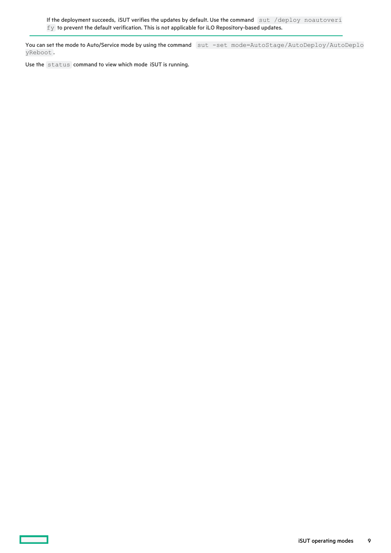If the deployment succeeds, iSUT verifies the updates by default. Use the command sut /deploy noautoveri fy to prevent the default verification. This is not applicable for iLO Repository-based updates.

You can set the mode to Auto/Service mode by using the command sut -set mode=AutoStage/AutoDeploy/AutoDeplo yReboot .

Use the status command to view which mode iSUT is running.

─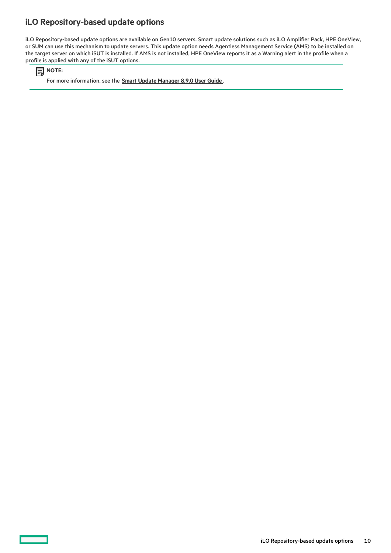## <span id="page-9-0"></span>iLO Repository-based update options

iLO Repository-based update options are available on Gen10 servers. Smart update solutions such as iLO Amplifier Pack, HPE OneView, or SUM can use this mechanism to update servers. This update option needs Agentless Management Service (AMS) to be installed on the target server on which iSUT is installed. If AMS is not installed, HPE OneView reports it as a Warning alert in the profile when a profile is applied with any of the iSUT options.

**同**NOTE:

For more information, see the **Smart Update [Manager](http://www.hpe.com/support/SUM-UG-en) 8.9.0 User Guide**.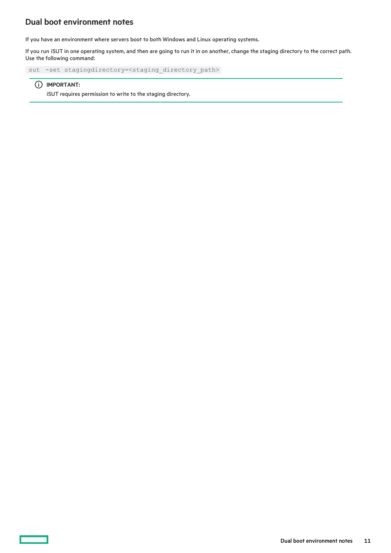## <span id="page-10-0"></span>Dual boot environment notes

If you have an environment where servers boot to both Windows and Linux operating systems.

If you run iSUT in one operating system, and then are going to run it in on another, change the staging directory to the correct path. Use the following command:

sut -set stagingdirectory=<staging\_directory\_path>

#### IMPORTANT:

iSUT requires permission to write to the staging directory.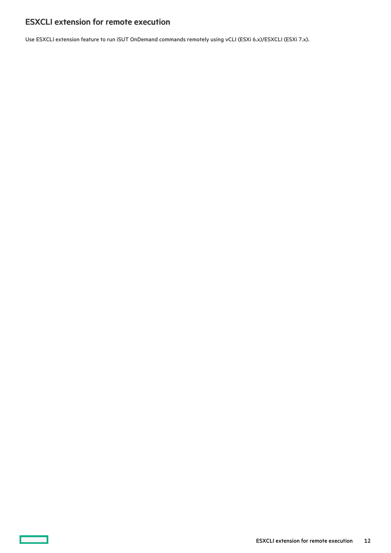# <span id="page-11-0"></span>ESXCLI extension for remote execution

 $\overline{\phantom{a}}$ 

Use ESXCLI extension feature to run iSUT OnDemand commands remotely using vCLI (ESXi 6.x)/ESXCLI (ESXi 7.x).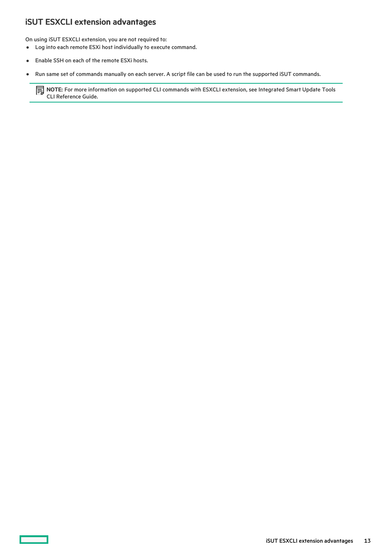## <span id="page-12-0"></span>iSUT ESXCLI extension advantages

On using iSUT ESXCLI extension, you are not required to:

- Log into each remote ESXi host individually to execute command.
- Enable SSH on each of the remote ESXi hosts.  $\bullet$
- Run same set of commands manually on each server. A script file can be used to run the supported iSUT commands.  $\bullet$

NOTE: For more information on supported CLI commands with ESXCLI extension, see Integrated Smart Update Tools CLI Reference Guide.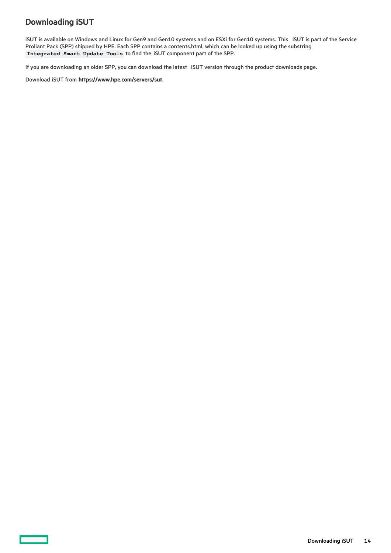# <span id="page-13-0"></span>Downloading iSUT

iSUT is available on Windows and Linux for Gen9 and Gen10 systems and on ESXi for Gen10 systems. This iSUT is part of the Service Proliant Pack (SPP) shipped by HPE. Each SPP contains a contents.html, which can be looked up using the substring Integrated Smart Update Tools to find the iSUT component part of the SPP.

If you are downloading an older SPP, you can download the latest iSUT version through the product downloads page.

Download iSUT from <https://www.hpe.com/servers/sut>.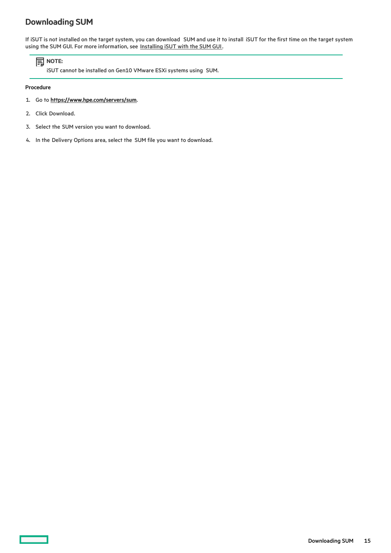# <span id="page-14-0"></span>Downloading SUM

If iSUT is not installed on the target system, you can download SUM and use it to install iSUT for the first time on the target system using the SUM GUI. For more information, see [Installing](#page-23-0) iSUT with the SUM GUI.

## **同**NOTE:

iSUT cannot be installed on Gen10 VMware ESXi systems using SUM.

### Procedure

- 1. Go to <https://www.hpe.com/servers/sum>.
- 2. Click Download.
- 3. Select the SUM version you want to download.
- 4. In the Delivery Options area, select the SUM file you want to download.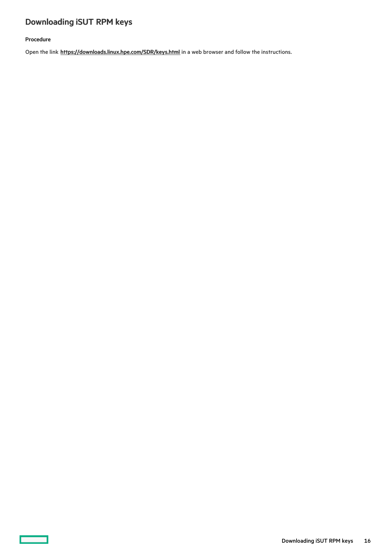# <span id="page-15-0"></span>Downloading iSUT RPM keys

## Procedure

 $\overline{\phantom{a}}$ 

Open the link [https://downloads.linux.hpe.com/SDR/keys.html](https://support.hpe.com/hpesc/docDisplay?docId=sd00001101en_us&page=https://downloads.linux.hpe.com/SDR/keys.html) in a web browser and follow the instructions.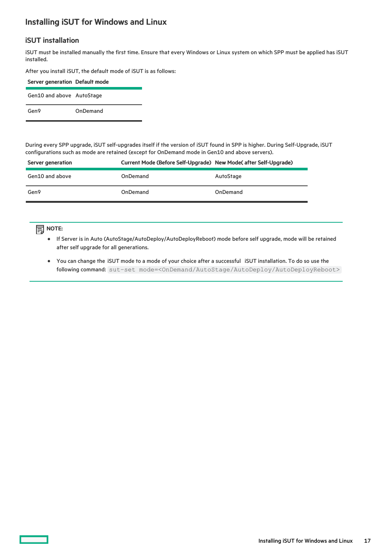## <span id="page-16-0"></span>Installing iSUT for Windows and Linux

## iSUT installation

iSUT must be installed manually the first time. Ensure that every Windows or Linux system on which SPP must be applied has iSUT installed.

After you install iSUT, the default mode of iSUT is as follows:

| Server generation Default mode |          |
|--------------------------------|----------|
| Gen10 and above AutoStage      |          |
| Gen9                           | OnDemand |

During every SPP upgrade, iSUT self-upgrades itself if the version of iSUT found in SPP is higher. During Self-Upgrade, iSUT configurations such as mode are retained (except for OnDemand mode in Gen10 and above servers).

| Server generation | Current Mode (Before Self-Upgrade) New Mode (after Self-Upgrade) |           |
|-------------------|------------------------------------------------------------------|-----------|
| Gen10 and above   | OnDemand                                                         | AutoStage |
| Gen9              | OnDemand                                                         | OnDemand  |

## **司**NOTE:

- If Server is in Auto (AutoStage/AutoDeploy/AutoDeployReboot) mode before self upgrade, mode will be retained after self upgrade for all generations.
- You can change the iSUT mode to a mode of your choice after a successful iSUT installation. To do so use the following command: sut–set mode=<OnDemand/AutoStage/AutoDeploy/AutoDeployReboot>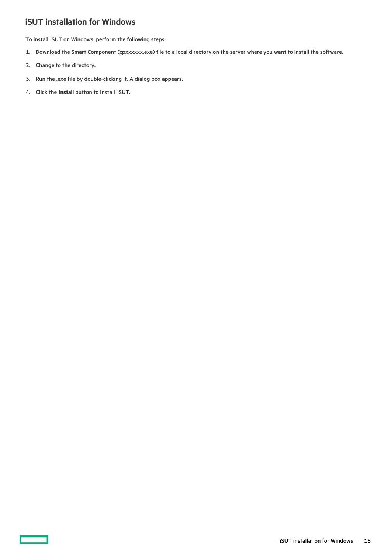# <span id="page-17-0"></span>iSUT installation for Windows

To install iSUT on Windows, perform the following steps:

- 1. Download the Smart Component (cpxxxxxx.exe) file to a local directory on the server where you want to install the software.
- 2. Change to the directory.
- 3. Run the .exe file by double-clicking it. A dialog box appears.
- 4. Click the Install button to install iSUT.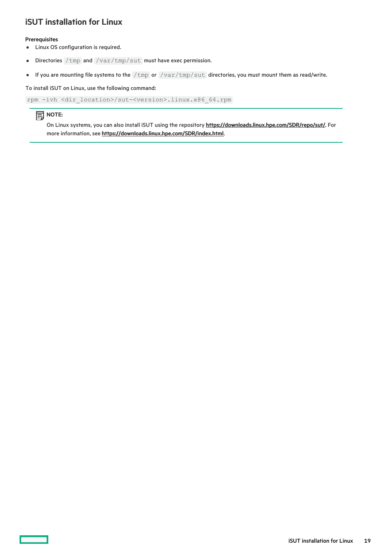## <span id="page-18-0"></span>iSUT installation for Linux

#### **Prerequisites**

- Linux OS configuration is required.
- Directories /tmp and /var/tmp/sut must have exec permission.  $\bullet$
- If you are mounting file systems to the /tmp or /var/tmp/sut directories, you must mount them as read/write.  $\bullet$

#### To install iSUT on Linux, use the following command:

```
rpm -ivh <dir_location>/sut-<version>.linux.x86_64.rpm
```
## **目**NOTE:

On Linux systems, you can also install iSUT using the repository <https://downloads.linux.hpe.com/SDR/repo/sut/>. For more information, see [https://downloads.linux.hpe.com/SDR/index.html](https://support.hpe.com/hpesc/docDisplay?docId=sd00001101en_us&page=https://downloads.linux.hpe.com/SDR/index.html).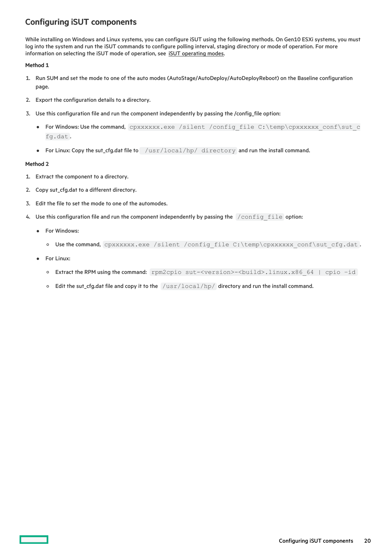# <span id="page-19-0"></span>Configuring iSUT components

While installing on Windows and Linux systems, you can configure iSUT using the following methods. On Gen10 ESXi systems, you must log into the system and run the iSUT commands to configure polling interval, staging directory or mode of operation. For more information on selecting the iSUT mode of operation, see **iSUT** [operating](#page-7-0) modes.

#### Method 1

- 1. Run SUM and set the mode to one of the auto modes (AutoStage/AutoDeploy/AutoDeployReboot) on the Baseline configuration page.
- 2. Export the configuration details to a directory.
- 3. Use this configuration file and run the component independently by passing the /config\_file option:
	- For Windows: Use the command, cpxxxxxx.exe /silent /config\_file C:\temp\cpxxxxxx\_conf\sut\_c fg.dat .
	- For Linux: Copy the sut\_cfg.dat file to /usr/local/hp/ directory and run the install command.

#### Method 2

- 1. Extract the component to a directory.
- 2. Copy sut\_cfg.dat to a different directory.
- 3. Edit the file to set the mode to one of the automodes.
- 4. Use this configuration file and run the component independently by passing the /config\_file option:
	- For Windows:
		- o Use the command, cpxxxxxx.exe /silent /config\_file C:\temp\cpxxxxxx conf\sut\_cfg.dat.
	- For Linux:
		- Extract the RPM using the command: rpm2cpio sut-<version>-<build>.linux.x86\_64 | cpio –id
		- $\circ$  Edit the sut\_cfg.dat file and copy it to the  $/usr/local/hp/$  directory and run the install command.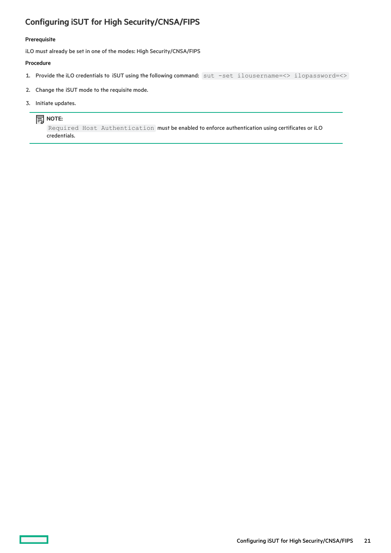# <span id="page-20-0"></span>Configuring iSUT for High Security/CNSA/FIPS

### Prerequisite

iLO must already be set in one of the modes: High Security/CNSA/FIPS

#### Procedure

- 1. Provide the iLO credentials to iSUT using the following command: sut -set ilousername=<> ilopassword=<>
- 2. Change the iSUT mode to the requisite mode.
- 3. Initiate updates.

## **同** NOTE:

Required Host Authentication must be enabled to enforce authentication using certificates or iLO credentials.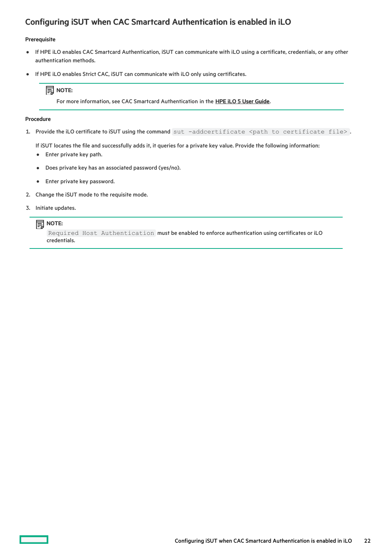# <span id="page-21-0"></span>Configuring iSUT when CAC Smartcard Authentication is enabled in iLO

#### Prerequisite

- If HPE iLO enables CAC Smartcard Authentication, iSUT can communicate with iLO using a certificate, credentials, or any other  $\bullet$ authentication methods.
- If HPE iLO enables Strict CAC, iSUT can communicate with iLO only using certificates.  $\bullet$

## $\Xi$  моте:

For more information, see CAC Smartcard Authentication in the HPE iLO 5 User [Guide](https://techlibrary.hpe.com/us/en/enterprise/servers/solutions/info-library/index.aspx?cat=ilo5&lang=1#.XdZGWugzbIU).

#### Procedure

1. Provide the iLO certificate to iSUT using the command sut -addcertificate <path to certificate file>.

If iSUT locates the file and successfully adds it, it queries for a private key value. Provide the following information:

- Enter private key path.
- Does private key has an associated password (yes/no).  $\bullet$
- Enter private key password.
- 2. Change the iSUT mode to the requisite mode.
- 3. Initiate updates.

#### $\mathbf{E}$  NOTE:

Required Host Authentication must be enabled to enforce authentication using certificates or iLO credentials.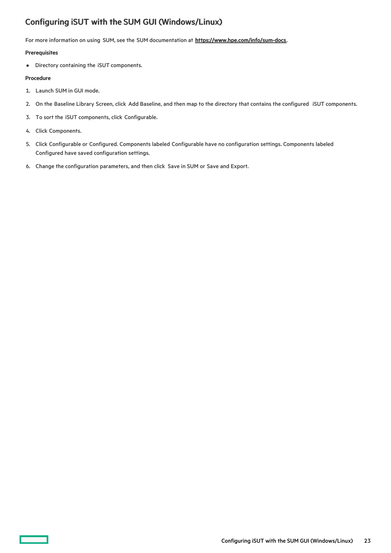# <span id="page-22-0"></span>Configuring iSUT with the SUM GUI (Windows/Linux)

For more information on using SUM, see the SUM documentation at <https://www.hpe.com/info/sum-docs>.

#### **Prerequisites**

Directory containing the iSUT components.

### Procedure

- 1. Launch SUM in GUI mode.
- 2. On the Baseline Library Screen, click Add Baseline, and then map to the directory that contains the configured iSUT components.
- 3. To sort the iSUT components, click Configurable.
- 4. Click Components.
- 5. Click Configurable or Configured. Components labeled Configurable have no configuration settings. Components labeled Configured have saved configuration settings.
- 6. Change the configuration parameters, and then click Save in SUM or Save and Export.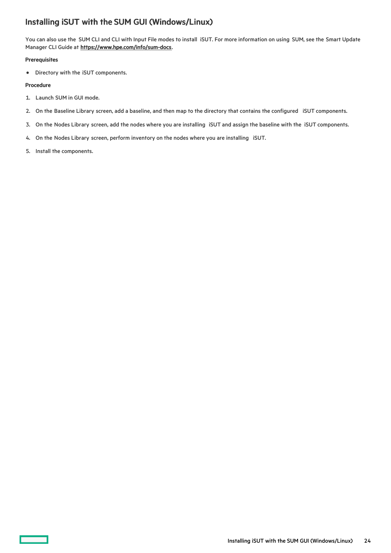## <span id="page-23-0"></span>Installing iSUT with the SUM GUI (Windows/Linux)

You can also use the SUM CLI and CLI with Input File modes to install iSUT. For more information on using SUM, see the Smart Update Manager CLI Guide at <https://www.hpe.com/info/sum-docs>.

#### **Prerequisites**

Directory with the iSUT components.

#### Procedure

- 1. Launch SUM in GUI mode.
- 2. On the Baseline Library screen, add a baseline, and then map to the directory that contains the configured iSUT components.
- 3. On the Nodes Library screen, add the nodes where you are installing iSUT and assign the baseline with the iSUT components.
- 4. On the Nodes Library screen, perform inventory on the nodes where you are installing iSUT.
- 5. Install the components.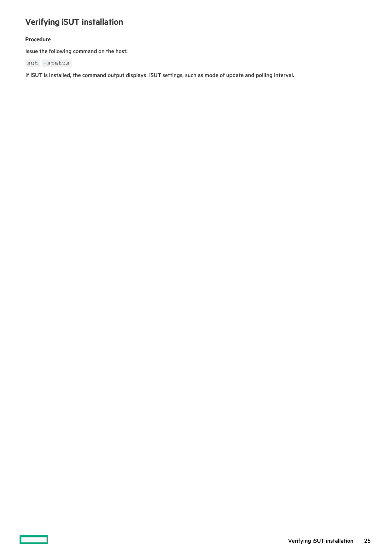# <span id="page-24-0"></span>Verifying iSUT installation

## Procedure

 $\overline{\phantom{0}}$ 

Issue the following command on the host:

sut -status

If iSUT is installed, the command output displays iSUT settings, such as mode of update and polling interval.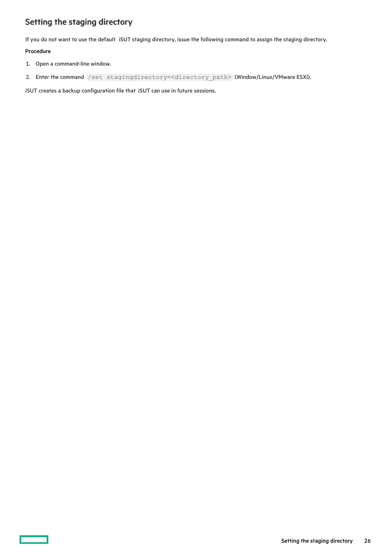# <span id="page-25-0"></span>Setting the staging directory

If you do not want to use the default iSUT staging directory, issue the following command to assign the staging directory.

### Procedure

- 1. Open a command-line window.
- 2. Enter the command /set stagingdirectory=<directory\_path> (Window/Linux/VMware ESXi).

iSUT creates a backup configuration file that iSUT can use in future sessions.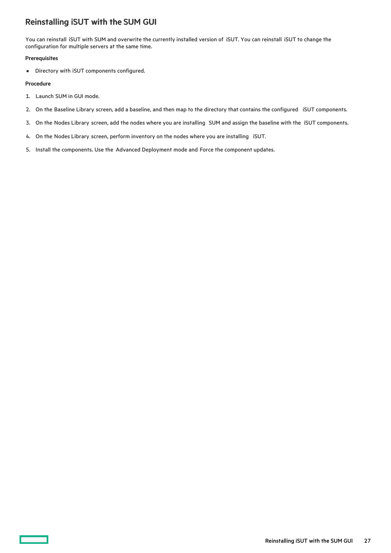## <span id="page-26-0"></span>Reinstalling iSUT with the SUM GUI

You can reinstall iSUT with SUM and overwrite the currently installed version of iSUT. You can reinstall iSUT to change the configuration for multiple servers at the same time.

#### **Prerequisites**

Directory with iSUT components configured.

#### Procedure

- 1. Launch SUM in GUI mode.
- 2. On the Baseline Library screen, add a baseline, and then map to the directory that contains the configured iSUT components.
- 3. On the Nodes Library screen, add the nodes where you are installing SUM and assign the baseline with the iSUT components.
- 4. On the Nodes Library screen, perform inventory on the nodes where you are installing iSUT.
- 5. Install the components. Use the Advanced Deployment mode and Force the component updates.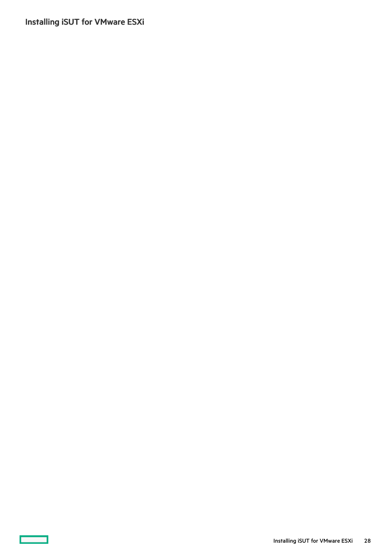<span id="page-27-0"></span>Installing iSUT for VMware ESXi

 $\sim$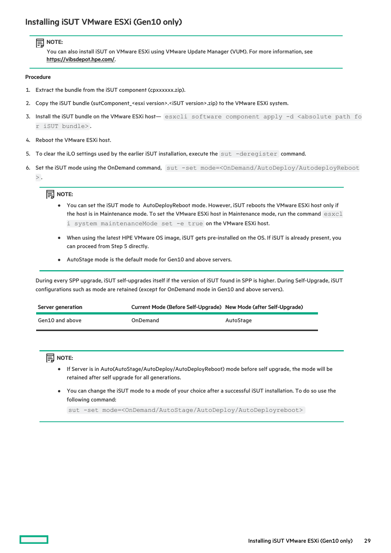## <span id="page-28-0"></span>Installing iSUT VMware ESXi (Gen10 only)

## **同**NOTE:

You can also install iSUT on VMware ESXi using VMware Update Manager (VUM). For more information, see <https://vibsdepot.hpe.com/>.

#### Procedure

- 1. Extract the bundle from the iSUT component (cpxxxxxx.zip).
- 2. Copy the iSUT bundle (sutComponent\_<esxi version>.<iSUT version>.zip) to the VMware ESXi system.
- 3. Install the iSUT bundle on the VMware ESXi host- esxcli software component apply -d <absolute path fo r iSUT bundle> .
- 4. Reboot the VMware ESXi host.
- 5. To clear the iLO settings used by the earlier iSUT installation, execute the sut -deregister command.
- 6. Set the iSUT mode using the OnDemand command, sut -set mode=<OnDemand/AutoDeploy/AutodeployReboot  $>$  .

### **目**NOTE:

- You can set the iSUT mode to AutoDeployReboot mode. However, iSUT reboots the VMware ESXi host only if the host is in Maintenance mode. To set the VMware ESXi host in Maintenance mode, run the command esxcl i system maintenanceMode set -e true on the VMware ESXi host.
- When using the latest HPE VMware OS image, iSUT gets pre-installed on the OS. If iSUT is already present, you can proceed from Step 5 directly.
- AutoStage mode is the default mode for Gen10 and above servers.

During every SPP upgrade, iSUT self-upgrades itself if the version of iSUT found in SPP is higher. During Self-Upgrade, iSUT configurations such as mode are retained (except for OnDemand mode in Gen10 and above servers).

| Server generation | Current Mode (Before Self-Upgrade) New Mode (after Self-Upgrade) |           |
|-------------------|------------------------------------------------------------------|-----------|
| Gen10 and above   | OnDemand                                                         | AutoStage |

## $\Xi$  NOTE:

- If Server is in Auto(AutoStage/AutoDeploy/AutoDeployReboot) mode before self upgrade, the mode will be retained after self upgrade for all generations.
- You can change the iSUT mode to a mode of your choice after a successful iSUT installation. To do so use the following command:

sut -set mode=<OnDemand/AutoStage/AutoDeploy/AutoDeployreboot>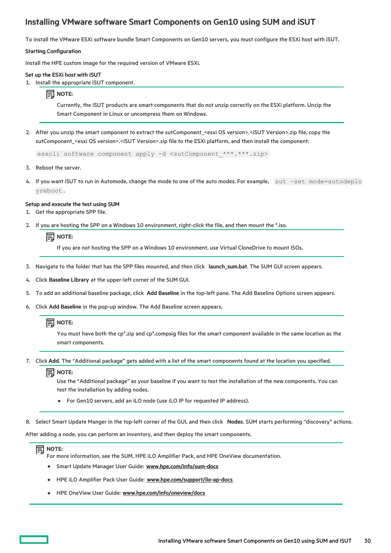## <span id="page-29-0"></span>Installing VMware software Smart Components on Gen10 using SUM and iSUT

To install the VMware ESXi software bundle Smart Components on Gen10 servers, you must configure the ESXi host with iSUT.

#### Starting Configuration

Install the HPE custom image for the required version of VMware ESXi.

#### Set up the ESXi host with iSUT

1. Install the appropriate iSUT component.

#### $\Xi$  NOTE:

Currently, the iSUT products are smart components that do not unzip correctly on the ESXi platform. Unzip the Smart Component in Linux or uncompress them on Windows.

2. After you unzip the smart component to extract the sutComponent\_<esxi OS version>.<iSUT Version>.zip file, copy the sutComponent\_<esxi OS version>.<iSUT Version>.zip file to the ESXi platform, and then install the component:

esxcli software component apply -d <sutComponent \*\*\*.\*\*\*.zip>

- 3. Reboot the server.
- 4. If you want iSUT to run in Automode, change the mode to one of the auto modes. For example, sut -set mode=autodeplo yreboot .

#### Setup and execute the test using SUM

- 1. Get the appropriate SPP file.
- 2. If you are hosting the SPP on a Windows 10 environment, right-click the file, and then mount the \*.iso.

## $\Xi$  NOTE:

If you are not hosting the SPP on a Windows 10 environment, use Virtual CloneDrive to mount ISOs.

- 3. Navigate to the folder that has the SPP files mounted, and then click launch\_sum.bat. The SUM GUI screen appears.
- 4. Click Baseline Library at the upper-left corner of the SUM GUI.
- 5. To add an additional baseline package, click Add Baseline in the top-left pane. The Add Baseline Options screen appears.
- 6. Click Add Baseline in the pop-up window. The Add Baseline screen appears.

## $\Xi$  NOTE:

You must have both the cp\*.zip and cp\*.compsig files for the smart component available in the same location as the smart components.

7. Click Add. The "Additional package" gets added with a list of the smart components found at the location you specified.

### $\Xi$  NOTE:

Use the "Additional package" as your baseline if you want to test the installation of the new components. You can test the installation by adding nodes.

- For Gen10 servers, add an iLO node (use iLO IP for requested IP address).
- 8. Select Smart Update Manger in the top-left corner of the GUI, and then click Nodes. SUM starts performing "discovery" actions.

After adding a node, you can perform an inventory, and then deploy the smart components.

## $\Xi$  NOTE:

For more information, see the SUM, HPE iLO Amplifier Pack, and HPE OneView documentation.

- **•** Smart Update Manager User Guide: [www.hpe.com/info/sum-docs](https://www.hpe.com/info/sum-docs)
- HPE iLO Amplifier Pack User Guide: [www.hpe.com/support/ilo-ap-docs](https://www.hpe.com/support/ilo-ap-docs)
- HPE OneView User Guide: [www.hpe.com/info/oneview/docs](https://www.hpe.com/info/oneview/docs)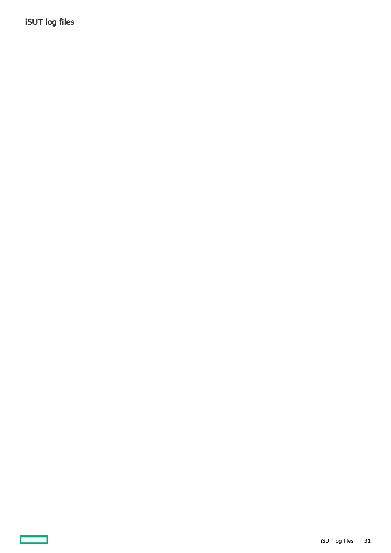<span id="page-30-0"></span>iSUT log files

 $\sim$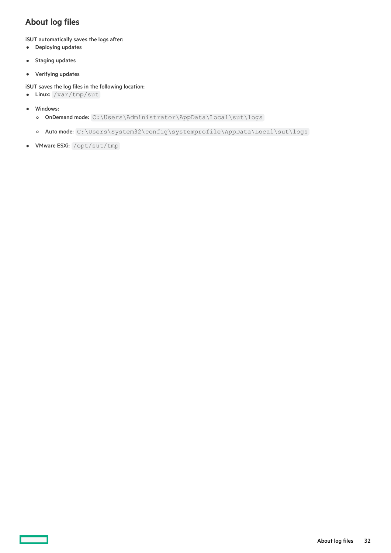# <span id="page-31-0"></span>About log files

iSUT automatically saves the logs after:

- Deploying updates
- Staging updates  $\bullet$
- Verifying updates

#### iSUT saves the log files in the following location:

- Linux: /var/tmp/sut
- Windows:
	- o OnDemand mode: C:\Users\Administrator\AppData\Local\sut\logs
	- o Auto mode: C:\Users\System32\config\systemprofile\AppData\Local\sut\logs
- VMware ESXi: /opt/sut/tmp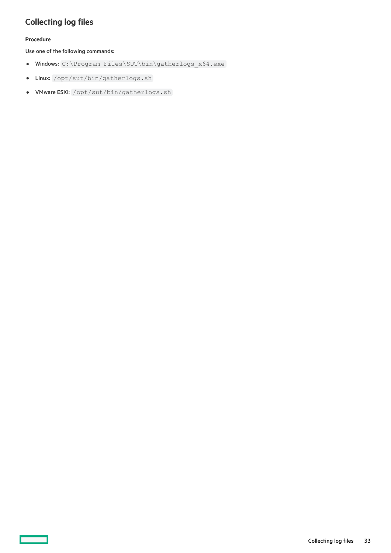# <span id="page-32-0"></span>Collecting log files

## Procedure

 $\overline{\phantom{a}}$ 

Use one of the following commands:

- Windows: C:\Program Files\SUT\bin\gatherlogs\_x64.exe
- Linux: /opt/sut/bin/gatherlogs.sh
- VMware ESXi: /opt/sut/bin/gatherlogs.sh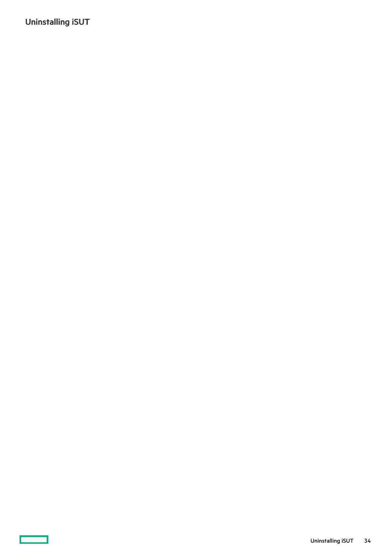<span id="page-33-0"></span>Uninstalling iSUT

<u>a sa Ba</u>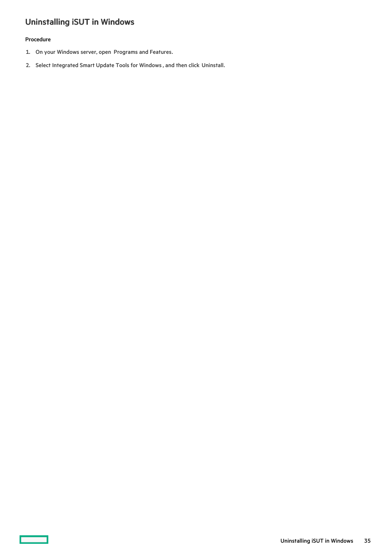# <span id="page-34-0"></span>Uninstalling iSUT in Windows

## Procedure

 $\overline{\phantom{0}}$ 

- 1. On your Windows server, open Programs and Features.
- 2. Select Integrated Smart Update Tools for Windows , and then click Uninstall.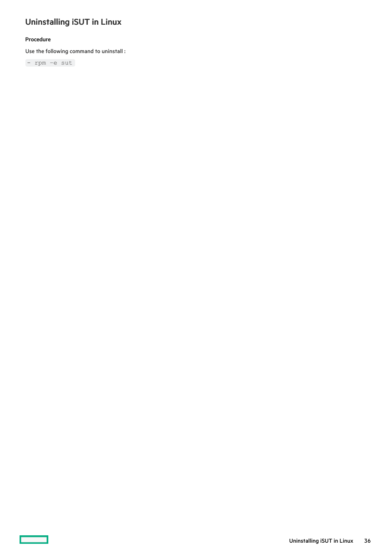# <span id="page-35-0"></span>Uninstalling iSUT in Linux

## Procedure

 $\overline{\phantom{a}}$ 

Use the following command to uninstall :

- rpm –e sut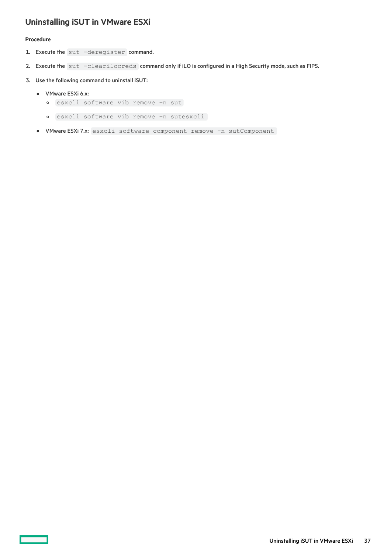## <span id="page-36-0"></span>Uninstalling iSUT in VMware ESXi

#### Procedure

- 1. Execute the sut -deregister command.
- 2. Execute the sut -clearilocreds command only if iLO is configured in a High Security mode, such as FIPS.
- 3. Use the following command to uninstall iSUT:
	- VMware ESXi 6.x:
		- esxcli software vib remove –n sut
		- esxcli software vib remove –n sutesxcli
	- VMware ESXi 7.x: esxcli software component remove -n sutComponent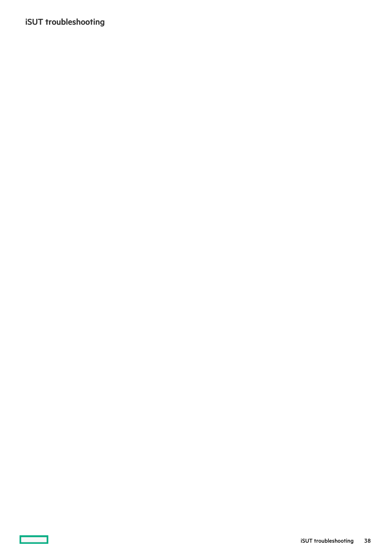# <span id="page-37-0"></span>iSUT troubleshooting

 $\sim$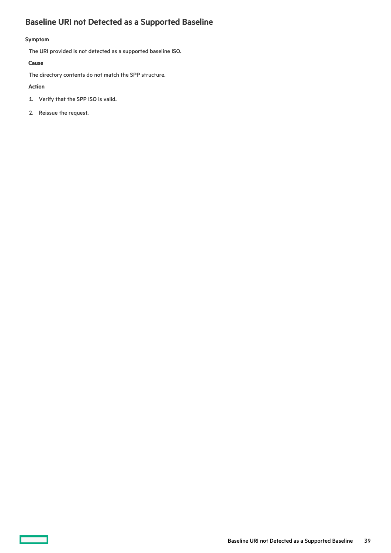# <span id="page-38-0"></span>Baseline URI not Detected as a Supported Baseline

## Symptom

The URI provided is not detected as a supported baseline ISO.

### Cause

The directory contents do not match the SPP structure.

### Action

 $\overline{\phantom{0}}$ 

- 1. Verify that the SPP ISO is valid.
- 2. Reissue the request.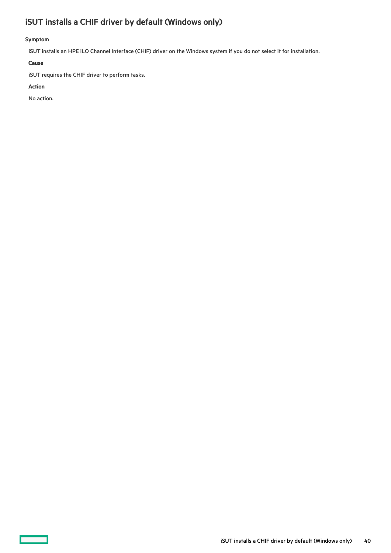# <span id="page-39-0"></span>iSUT installs a CHIF driver by default (Windows only)

## Symptom

iSUT installs an HPE iLO Channel Interface (CHIF) driver on the Windows system if you do not select it for installation.

#### Cause

iSUT requires the CHIF driver to perform tasks.

#### Action

 $\overline{\phantom{a}}$ 

No action.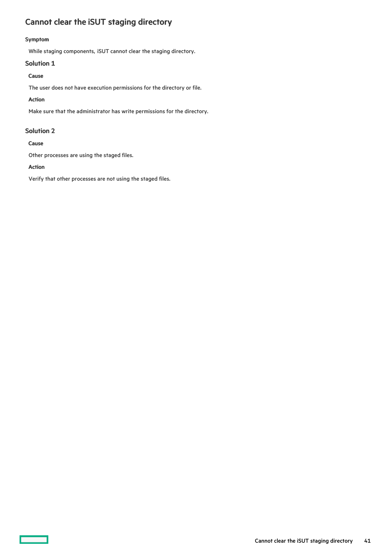# <span id="page-40-0"></span>Cannot clear the iSUT staging directory

#### Symptom

While staging components, iSUT cannot clear the staging directory.

### Solution 1

## Cause

The user does not have execution permissions for the directory or file.

### Action

Make sure that the administrator has write permissions for the directory.

## Solution 2

#### Cause

Other processes are using the staged files.

### Action

Verify that other processes are not using the staged files.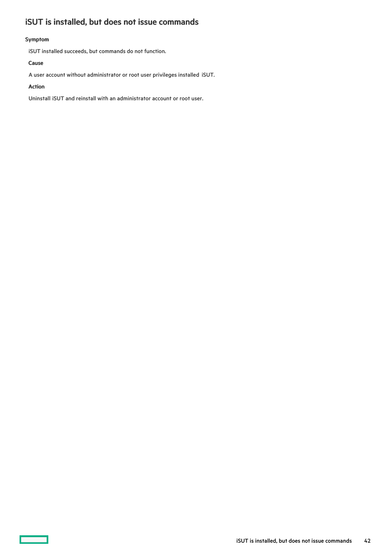# <span id="page-41-0"></span>iSUT is installed, but does not issue commands

## Symptom

iSUT installed succeeds, but commands do not function.

### Cause

A user account without administrator or root user privileges installed iSUT.

#### Action

Uninstall iSUT and reinstall with an administrator account or root user.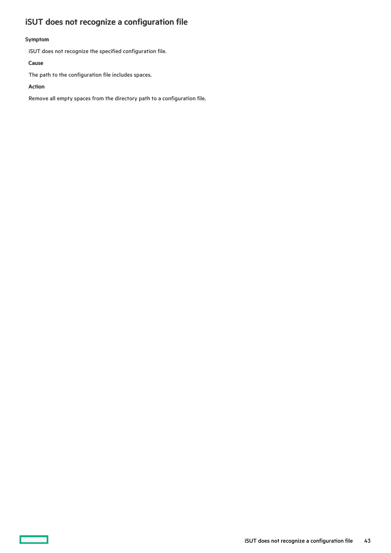# <span id="page-42-0"></span>iSUT does not recognize a configuration file

## Symptom

iSUT does not recognize the specified configuration file.

#### Cause

The path to the configuration file includes spaces.

#### Action

 $\overline{\phantom{a}}$ 

Remove all empty spaces from the directory path to a configuration file.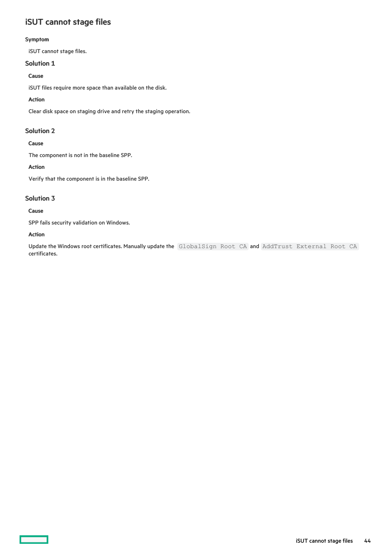## <span id="page-43-0"></span>iSUT cannot stage files

#### Symptom

iSUT cannot stage files.

## Solution 1

## Cause

iSUT files require more space than available on the disk.

## Action

Clear disk space on staging drive and retry the staging operation.

## Solution 2

## Cause

The component is not in the baseline SPP.

## Action

Verify that the component is in the baseline SPP.

## Solution 3

## Cause

SPP fails security validation on Windows.

## Action

Update the Windows root certificates. Manually update the GlobalSign Root CA and AddTrust External Root CA certificates.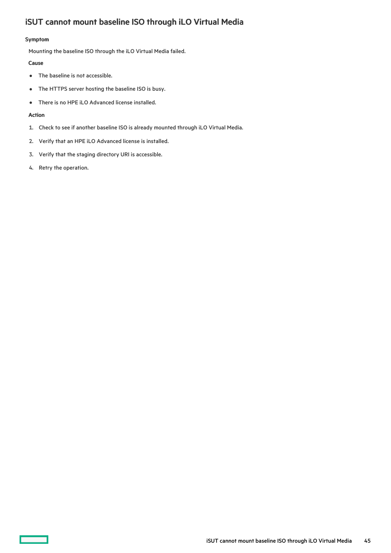# <span id="page-44-0"></span>iSUT cannot mount baseline ISO through iLO Virtual Media

#### Symptom

Mounting the baseline ISO through the iLO Virtual Media failed.

#### Cause

- $\bullet$ The baseline is not accessible.
- The HTTPS server hosting the baseline ISO is busy.  $\bullet$
- There is no HPE iLO Advanced license installed.  $\bullet$

#### Action

- 1. Check to see if another baseline ISO is already mounted through iLO Virtual Media.
- 2. Verify that an HPE iLO Advanced license is installed.
- 3. Verify that the staging directory URI is accessible.
- 4. Retry the operation.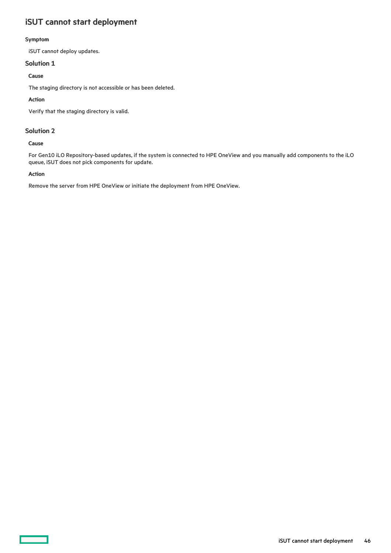# <span id="page-45-0"></span>iSUT cannot start deployment

#### Symptom

iSUT cannot deploy updates.

## Solution 1

## Cause

The staging directory is not accessible or has been deleted.

### Action

Verify that the staging directory is valid.

## Solution 2

### Cause

For Gen10 iLO Repository-based updates, if the system is connected to HPE OneView and you manually add components to the iLO queue, iSUT does not pick components for update.

### Action

Remove the server from HPE OneView or initiate the deployment from HPE OneView.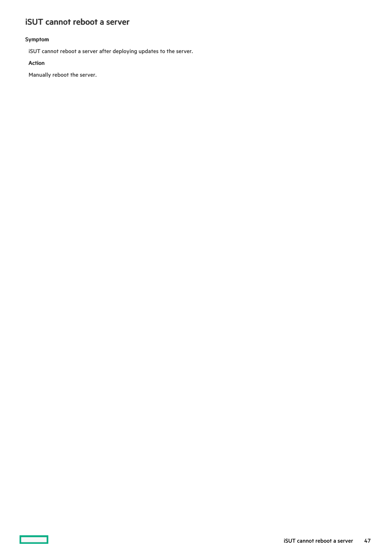## <span id="page-46-0"></span>iSUT cannot reboot a server

## Symptom

iSUT cannot reboot a server after deploying updates to the server.

#### Action

—

Manually reboot the server.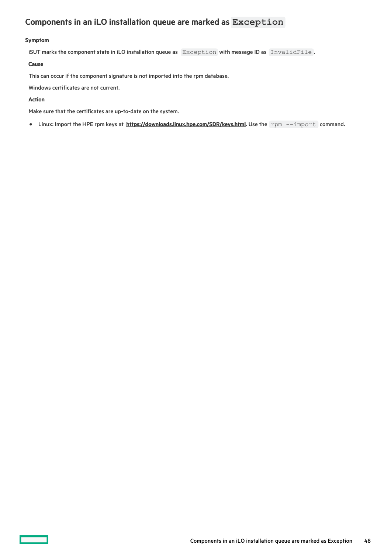# <span id="page-47-0"></span>Components in an iLO installation queue are marked as **Exception**

#### Symptom

iSUT marks the component state in iLO installation queue as Exception with message ID as InvalidFile.

#### Cause

This can occur if the component signature is not imported into the rpm database.

Windows certificates are not current.

#### Action

Make sure that the certificates are up-to-date on the system.

• Linux: Import the HPE rpm keys at [https://downloads.linux.hpe.com/SDR/keys.html](https://support.hpe.com/hpesc/docDisplay?docId=sd00001101en_us&page=https://downloads.linux.hpe.com/SDR/keys.html). Use the rpm --import command.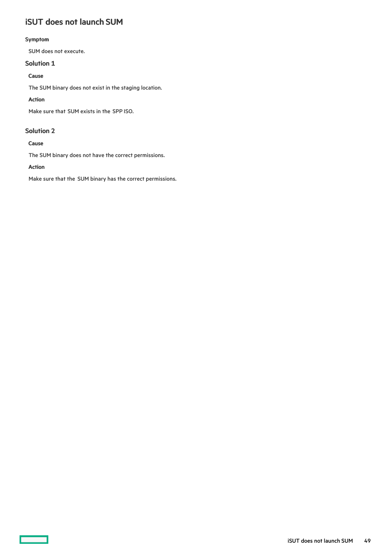# <span id="page-48-0"></span>iSUT does not launch SUM

#### Symptom

SUM does not execute.

## Solution 1

## Cause

The SUM binary does not exist in the staging location.

## Action

Make sure that SUM exists in the SPP ISO.

## Solution 2

## Cause

The SUM binary does not have the correct permissions.

## Action

Make sure that the SUM binary has the correct permissions.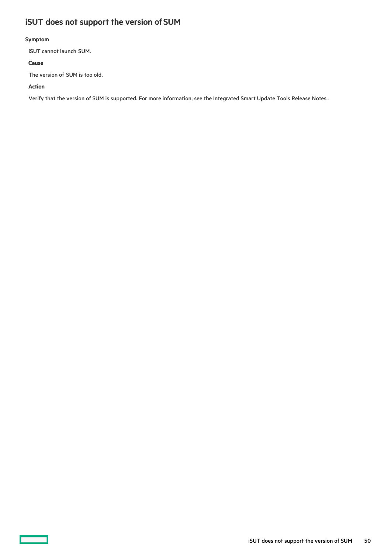# <span id="page-49-0"></span>iSUT does not support the version of SUM

## Symptom

iSUT cannot launch SUM.

### Cause

The version of SUM is too old.

#### Action

Verify that the version of SUM is supported. For more information, see the Integrated Smart Update Tools Release Notes .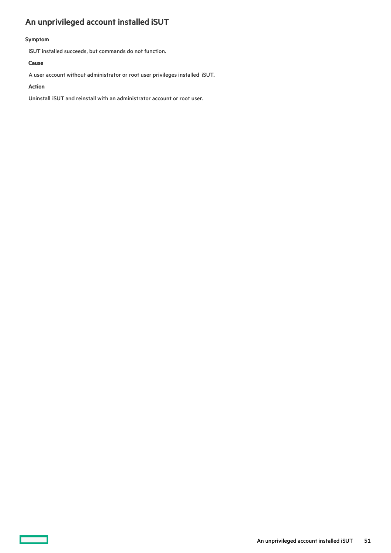# <span id="page-50-0"></span>An unprivileged account installed iSUT

## Symptom

iSUT installed succeeds, but commands do not function.

### Cause

A user account without administrator or root user privileges installed iSUT.

#### Action

 $\overline{\phantom{a}}$ 

Uninstall iSUT and reinstall with an administrator account or root user.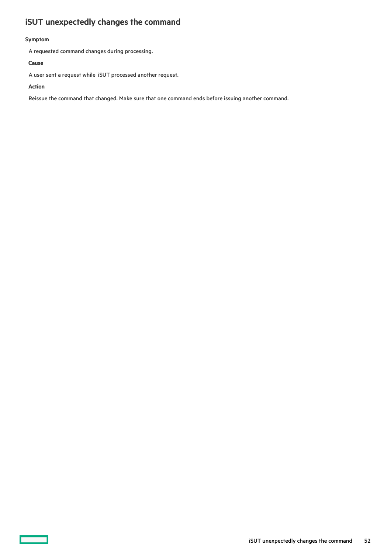# <span id="page-51-0"></span>iSUT unexpectedly changes the command

#### Symptom

A requested command changes during processing.

#### Cause

A user sent a request while iSUT processed another request.

#### Action

Reissue the command that changed. Make sure that one command ends before issuing another command.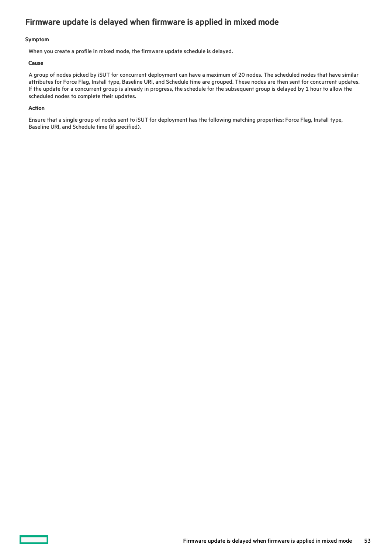## <span id="page-52-0"></span>Firmware update is delayed when firmware is applied in mixed mode

#### Symptom

When you create a profile in mixed mode, the firmware update schedule is delayed.

#### Cause

A group of nodes picked by iSUT for concurrent deployment can have a maximum of 20 nodes. The scheduled nodes that have similar attributes for Force Flag, Install type, Baseline URI, and Schedule time are grouped. These nodes are then sent for concurrent updates. If the update for a concurrent group is already in progress, the schedule for the subsequent group is delayed by 1 hour to allow the scheduled nodes to complete their updates.

#### Action

Ensure that a single group of nodes sent to iSUT for deployment has the following matching properties: Force Flag, Install type, Baseline URI, and Schedule time (if specified).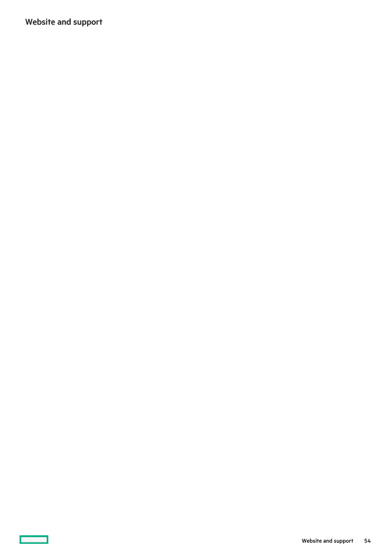<span id="page-53-0"></span>Website and support

 $\overline{\phantom{a}}$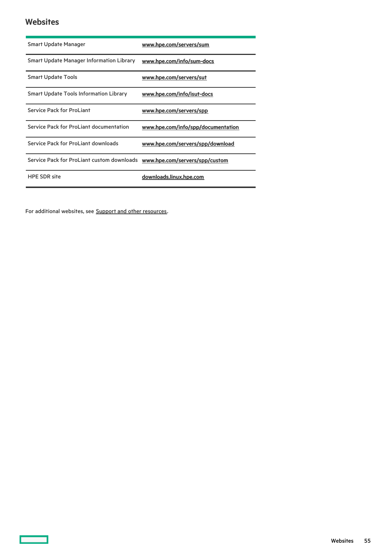## <span id="page-54-0"></span>**Websites**

 $\overline{\phantom{a}}$ 

| <b>Smart Update Manager</b>                     | www.hpe.com/servers/sum            |
|-------------------------------------------------|------------------------------------|
| <b>Smart Update Manager Information Library</b> | www.hpe.com/info/sum-docs          |
| <b>Smart Update Tools</b>                       | www.hpe.com/servers/sut            |
| <b>Smart Update Tools Information Library</b>   | www.hpe.com/info/isut-docs         |
| <b>Service Pack for ProLiant</b>                | www.hpe.com/servers/spp            |
| <b>Service Pack for ProLiant documentation</b>  | www.hpe.com/info/spp/documentation |
| Service Pack for ProLiant downloads             | www.hpe.com/servers/spp/download   |
| Service Pack for ProLiant custom downloads      | www.hpe.com/servers/spp/custom     |
| <b>HPE SDR site</b>                             | downloads.linux.hpe.com            |

For additional websites, see **Support and other [resources](#page-55-0)**.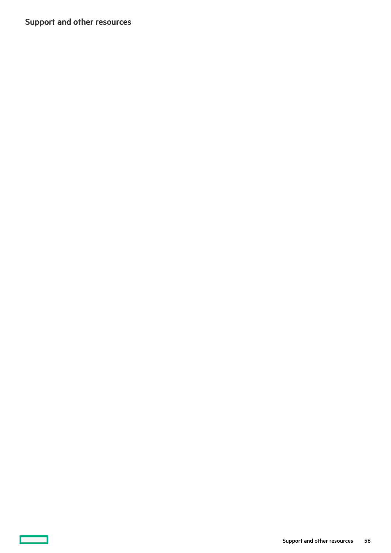<span id="page-55-0"></span>Support and other resources

**The Common**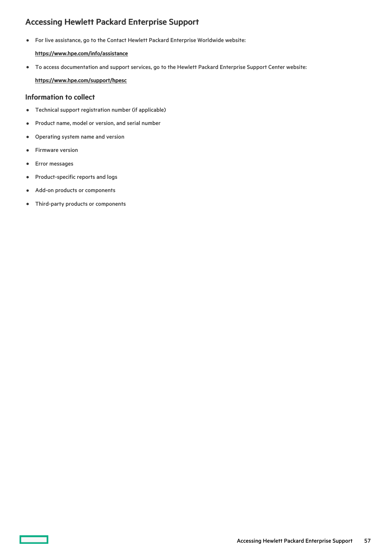## <span id="page-56-0"></span>Accessing Hewlett Packard Enterprise Support

For live assistance, go to the Contact Hewlett Packard Enterprise Worldwide website:

## <https://www.hpe.com/info/assistance>

To access documentation and support services, go to the Hewlett Packard Enterprise Support Center website:  $\bullet$ <https://www.hpe.com/support/hpesc>

## Information to collect

- $\bullet$ Technical support registration number (if applicable)
- Product name, model or version, and serial number  $\bullet$
- Operating system name and version  $\bullet$
- Firmware version  $\bullet$
- Error messages  $\bullet$
- Product-specific reports and logs
- Add-on products or components  $\bullet$
- Third-party products or components  $\bullet$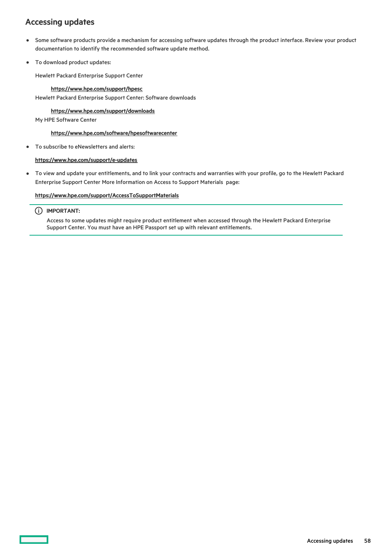## <span id="page-57-0"></span>Accessing updates

- Some software products provide a mechanism for accessing software updates through the product interface. Review your product  $\bullet$ documentation to identify the recommended software update method.
- To download product updates:  $\bullet$

Hewlett Packard Enterprise Support Center

#### <https://www.hpe.com/support/hpesc> Hewlett Packard Enterprise Support Center: Software downloads

## <https://www.hpe.com/support/downloads>

My HPE Software Center

#### <https://www.hpe.com/software/hpesoftwarecenter>

To subscribe to eNewsletters and alerts:  $\bullet$ 

#### <https://www.hpe.com/support/e-updates>

To view and update your entitlements, and to link your contracts and warranties with your profile, go to the Hewlett Packard  $\bullet$ Enterprise Support Center More Information on Access to Support Materials page:

#### <https://www.hpe.com/support/AccessToSupportMaterials>

### IMPORTANT:

Access to some updates might require product entitlement when accessed through the Hewlett Packard Enterprise Support Center. You must have an HPE Passport set up with relevant entitlements.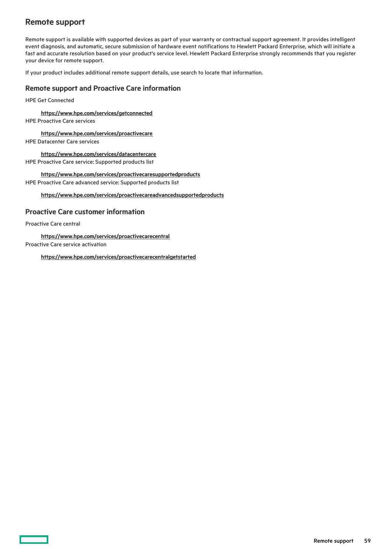## <span id="page-58-0"></span>Remote support

Remote support is available with supported devices as part of your warranty or contractual support agreement. It provides intelligent event diagnosis, and automatic, secure submission of hardware event notifications to Hewlett Packard Enterprise, which will initiate a fast and accurate resolution based on your product's service level. Hewlett Packard Enterprise strongly recommends that you register your device for remote support.

If your product includes additional remote support details, use search to locate that information.

## Remote support and Proactive Care information

HPE Get Connected

<https://www.hpe.com/services/getconnected>

HPE Proactive Care services

<https://www.hpe.com/services/proactivecare>

HPE Datacenter Care services

<https://www.hpe.com/services/datacentercare> HPE Proactive Care service: Supported products list

<https://www.hpe.com/services/proactivecaresupportedproducts> HPE Proactive Care advanced service: Supported products list

<https://www.hpe.com/services/proactivecareadvancedsupportedproducts>

## Proactive Care customer information

Proactive Care central

<https://www.hpe.com/services/proactivecarecentral>

Proactive Care service activation

<https://www.hpe.com/services/proactivecarecentralgetstarted>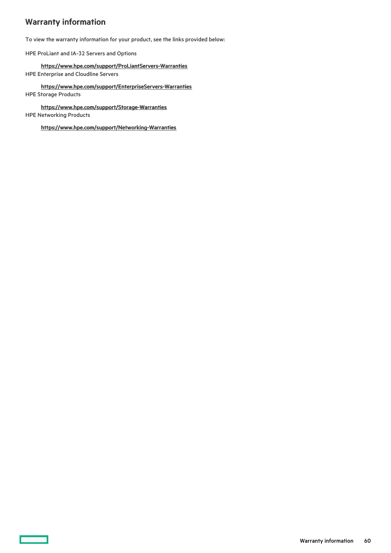# <span id="page-59-0"></span>Warranty information

 $\overline{\phantom{0}}$ 

To view the warranty information for your product, see the links provided below:

HPE ProLiant and IA-32 Servers and Options

<https://www.hpe.com/support/ProLiantServers-Warranties> HPE Enterprise and Cloudline Servers

<https://www.hpe.com/support/EnterpriseServers-Warranties> HPE Storage Products

<https://www.hpe.com/support/Storage-Warranties> HPE Networking Products

<https://www.hpe.com/support/Networking-Warranties>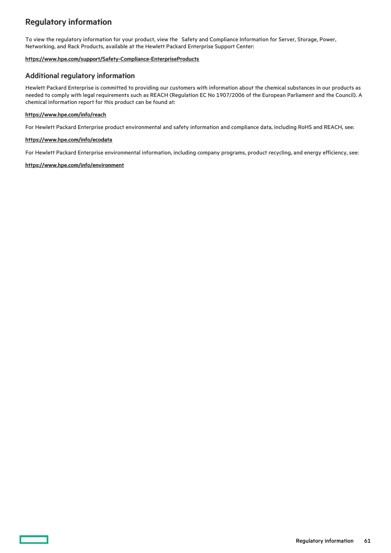## <span id="page-60-0"></span>Regulatory information

To view the regulatory information for your product, view the Safety and Compliance Information for Server, Storage, Power, Networking, and Rack Products, available at the Hewlett Packard Enterprise Support Center:

#### <https://www.hpe.com/support/Safety-Compliance-EnterpriseProducts>

## Additional regulatory information

Hewlett Packard Enterprise is committed to providing our customers with information about the chemical substances in our products as needed to comply with legal requirements such as REACH (Regulation EC No 1907/2006 of the European Parliament and the Council). A chemical information report for this product can be found at:

#### <https://www.hpe.com/info/reach>

For Hewlett Packard Enterprise product environmental and safety information and compliance data, including RoHS and REACH, see:

#### <https://www.hpe.com/info/ecodata>

For Hewlett Packard Enterprise environmental information, including company programs, product recycling, and energy efficiency, see:

#### <https://www.hpe.com/info/environment>